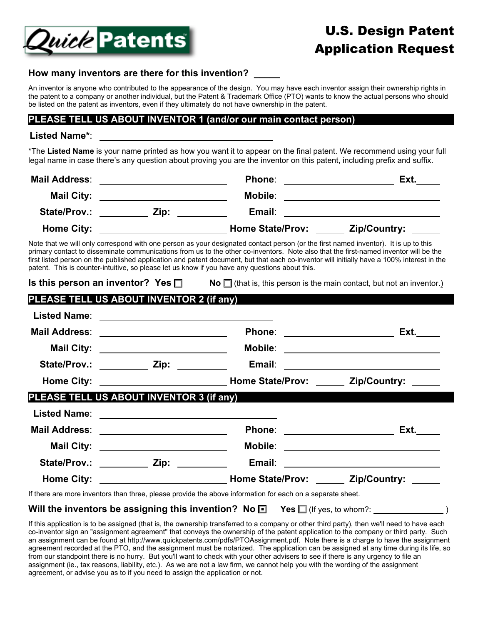

# **How many inventors are there for this invention? \_\_\_\_\_**

An inventor is anyone who contributed to the appearance of the design. You may have each inventor assign their ownership rights in the patent to a company or another individual, but the Patent & Trademark Office (PTO) wants to know the actual persons who should be listed on the patent as inventors, even if they ultimately do not have ownership in the patent.

## **PLEASE TELL US ABOUT INVENTOR 1 (and/or our main contact person)**

#### **Listed Name\***:

\*The **Listed Name** is your name printed as how you want it to appear on the final patent. We recommend using your full legal name in case there's any question about proving you are the inventor on this patent, including prefix and suffix.

| <b>Mail Address:</b> |      | Phone:                  | Ext.         |
|----------------------|------|-------------------------|--------------|
| <b>Mail City:</b>    |      | Mobile:                 |              |
| State/Prov.:         | Zip: | Email:                  |              |
| <b>Home City:</b>    |      | <b>Home State/Prov:</b> | Zip/Country: |

Note that we will only correspond with one person as your designated contact person (or the first named inventor). It is up to this primary contact to disseminate communications from us to the other co-inventors. Note also that the first-named inventor will be the first listed person on the published application and patent document, but that each co-inventor will initially have a 100% interest in the patent. This is counter-intuitive, so please let us know if you have any questions about this.

| Is this person an inventor? Yes $\square$ | <b>No</b> $\Box$ (that is, this person is the main contact, but not an inventor.)                          |                                         |
|-------------------------------------------|------------------------------------------------------------------------------------------------------------|-----------------------------------------|
| PLEASE TELL US ABOUT INVENTOR 2 (if any)  |                                                                                                            |                                         |
|                                           |                                                                                                            |                                         |
| Mail Address: _________________________   | Phone: _______________________                                                                             | Ext.                                    |
|                                           |                                                                                                            | Mobile: _______________________________ |
|                                           |                                                                                                            |                                         |
|                                           |                                                                                                            |                                         |
| PLEASE TELL US ABOUT INVENTOR 3 (if any)  |                                                                                                            |                                         |
|                                           |                                                                                                            |                                         |
|                                           |                                                                                                            |                                         |
|                                           |                                                                                                            |                                         |
|                                           | State/Prov.: ____________ Zip: ___________ Email: ______________________________                           |                                         |
|                                           |                                                                                                            |                                         |
|                                           | If there are more inventors than three, please provide the above information for each on a separate sheet. |                                         |

#### **Will the inventors be assigning this invention? No <b>□** Yes □ (If yes, to whom?: <u>successe and</u>)

If this application is to be assigned (that is, the ownership transferred to a company or other third party), then we'll need to have each co-inventor sign an "assignment agreement" that conveys the ownership of the patent application to the company or third party. Such an assignment can be found at [http://www.quickpatents.com/pdfs/PTOAssignment.pdf. N](http://www.quickpatents.com/pdfs/PTOAssignment.pdf)ote there is a charge to have the assignment agreement recorded at the PTO, and the assignment must be notarized. The application can be assigned at any time during its life, so from our standpoint there is no hurry. But you'll want to check with your other advisers to see if there is any urgency to file an assignment (ie., tax reasons, liability, etc.). As we are not a law firm, we cannot help you with the wording of the assignment agreement, or advise you as to if you need to assign the application or not.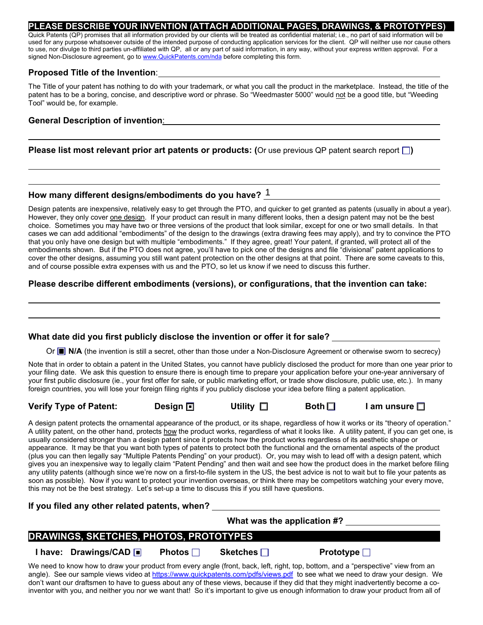#### **PLEASE DESCRIBE YOUR INVENTION (ATTACH ADDITIONAL PAGES, DRAWINGS, & PROTOTYPES)**

Quick Patents (QP) promises that all information provided by our clients will be treated as confidential material; i.e., no part of said information will be used for any purpose whatsoever outside of the intended purpose of conducting application services for the client. QP will neither use nor cause others to use, nor divulge to third parties un-affiliated with QP, all or any part of said information, in any way, without your express written approval. For a signed Non-Disclosure agreement, go to [www.QuickPatents.com/nda be](http://www.QuickPatents.com/nda)fore completing this form.

#### **Proposed Title of the Invention**:

The Title of your patent has nothing to do with your trademark, or what you call the product in the marketplace. Instead, the title of the patent has to be a boring, concise, and descriptive word or phrase. So "Weedmaster 5000" would not be a good title, but "Weeding Tool" would be, for example.

#### **General Description of invention**:

## **Please list most relevant prior art patents or products: (**Or use previous QP patent search report  $\Box$ )

# **How many different designs/embodiments do you have?**  1

Design patents are inexpensive, relatively easy to get through the PTO, and quicker to get granted as patents (usually in about a year). However, they only cover one design. If your product can result in many different looks, then a design patent may not be the best choice. Sometimes you may have two or three versions of the product that look similar, except for one or two small details. In that cases we can add additional "embodiments" of the design to the drawings (extra drawing fees may apply), and try to convince the PTO that you only have one design but with multiple "embodiments." If they agree, great! Your patent, if granted, will protect all of the embodiments shown. But if the PTO does not agree, you'll have to pick one of the designs and file "divisional" patent applications to cover the other designs, assuming you still want patent protection on the other designs at that point. There are some caveats to this, and of course possible extra expenses with us and the PTO, so let us know if we need to discuss this further.

#### **Please describe different embodiments (versions), or configurations, that the invention can take:**

#### **What date did you first publicly disclose the invention or offer it for sale?**

Or **N/A** (the invention is still a secret, other than those under a Non-Disclosure Agreement or otherwise sworn to secrecy)

Note that in order to obtain a patent in the United States, you cannot have publicly disclosed the product for more than one year prior to your filing date. We ask this question to ensure there is enough time to prepare your application before your one-year anniversary of your first public disclosure (ie., your first offer for sale, or public marketing effort, or trade show disclosure, public use, etc.). In many foreign countries, you will lose your foreign filing rights if you publicly disclose your idea before filing a patent application.

#### **Verify Type of Patent:** Design **□** Utility □ Both □ I am unsure □

Design  $\Box$ 

A design patent protects the ornamental appearance of the product, or its shape, regardless of how it works or its "theory of operation." A utility patent, on the other hand, protects how the product works, regardless of what it looks like. A utility patent, if you can get one, is usually considered stronger than a design patent since it protects how the product works regardless of its aesthetic shape or appearance. It may be that you want both types of patents to protect both the functional and the ornamental aspects of the product (plus you can then legally say "Multiple Patents Pending" on your product). Or, you may wish to lead off with a design patent, which gives you an inexpensive way to legally claim "Patent Pending" and then wait and see how the product does in the market before filing any utility patents (although since we're now on a first-to-file system in the US, the best advice is not to wait but to file your patents as soon as possible). Now if you want to protect your invention overseas, or think there may be competitors watching your every move, this may not be the best strategy. Let's set-up a time to discuss this if you still have questions.

**If you filed any other related patents, when?** 

|                                                | What was the application #? |               |                 |                                                                                                                                                                                                                                                                             |
|------------------------------------------------|-----------------------------|---------------|-----------------|-----------------------------------------------------------------------------------------------------------------------------------------------------------------------------------------------------------------------------------------------------------------------------|
| <b>DRAWINGS, SKETCHES, PHOTOS, PROTOTYPES,</b> |                             |               |                 |                                                                                                                                                                                                                                                                             |
|                                                | I have: Drawings/CAD  ■     | Photos $\Box$ | Sketches $\Box$ | Prototype $\Box$                                                                                                                                                                                                                                                            |
|                                                |                             |               |                 | We need to know how to draw your product from every angle (front, back, left, right, top, bottom, and a "perspective" view from an<br>angle). See our sample views video at https://www.quickpatents.com/pdfs/views.pdf to see what we need to draw your design. We         |
|                                                |                             |               |                 | don't want our draftsmen to have to guess about any of these views, because if they did that they might inadvertently become a co-<br>inventor with you, and neither you nor we want that! So it's important to give us enough information to draw your product from all of |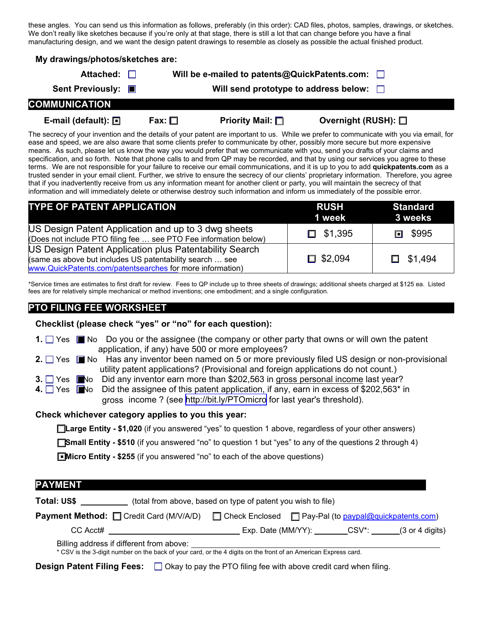these angles. You can send us this information as follows, preferably (in this order): CAD files, photos, samples, drawings, or sketches. We don't really like sketches because if you're only at that stage, there is still a lot that can change before you have a final manufacturing design, and we want the design patent drawings to resemble as closely as possible the actual finished product.

| My drawings/photos/sketches are: |             |                                               |                                                                                                                                          |
|----------------------------------|-------------|-----------------------------------------------|------------------------------------------------------------------------------------------------------------------------------------------|
| Attached: $\Box$                 |             | Will be e-mailed to patents@QuickPatents.com: | $\perp$                                                                                                                                  |
| Sent Previously: ■               |             | Will send prototype to address below:         |                                                                                                                                          |
| <b>COMMUNICATION</b>             |             |                                               |                                                                                                                                          |
| E-mail (default): $\Box$         | Fax: $\Box$ | <b>Priority Mail:</b> $\Box$                  | Overnight (RUSH): $\square$                                                                                                              |
|                                  |             |                                               | The secrecy of your invention and the details of your patent are important to us. While we prefer to communicate with you via email, for |

ease and speed, we are also aware that some clients prefer to communicate by other, possibly more secure but more expensive means. As such, please let us know the way you would prefer that we communicate with you, send you drafts of your claims and specification, and so forth. Note that phone calls to and from QP may be recorded, and that by using our services you agree to these terms. We are not responsible for your failure to receive our email communications, and it is up to you to add **quickpatents.com** as a trusted sender in your email client. Further, we strive to ensure the secrecy of our clients' proprietary information. Therefore, you agree that if you inadvertently receive from us any information meant for another client or party, you will maintain the secrecy of that information and will immediately delete or otherwise destroy such information and inform us immediately of the possible error.

| <b>TYPE OF PATENT APPLICATION</b>                                                                                                                                               | RUSH<br>1 week | Standard<br>3 weeks |
|---------------------------------------------------------------------------------------------------------------------------------------------------------------------------------|----------------|---------------------|
| US Design Patent Application and up to 3 dwg sheets<br>(Does not include PTO filing fee  see PTO Fee information below)                                                         | $\Box$ \$1,395 | □ \$995             |
| US Design Patent Application plus Patentability Search<br>(same as above but includes US patentability search  see<br>www.QuickPatents.com/patentsearches for more information) | $\Box$ \$2,094 | $\Box$ \$1,494      |

\*Service times are estimates to first draft for review. Fees to QP include up to three sheets of drawings; additional sheets charged at \$125 ea. Listed fees are for relatively simple mechanical or method inventions; one embodiment; and a single configuration.

# **PTO FILING FEE WORKSHEET**

**Checklist (please check "yes" or "no" for each question):** 

- **1.** □ Yes No Do you or the assignee (the company or other party that owns or will own the patent application, if any) have 500 or more employees?
- **2.** □ Yes No Has any inventor been named on 5 or more previously filed US design or non-provisional utility patent applications? (Provisional and foreign applications do not count.)
- **3.** □ Yes ■No Did any inventor earn more than \$202,563 in gross personal income last year?
- **4.** Yes Did the assignee of this patent application, if any, earn in excess of \$202,563 $*$  in gross income ? (see http://bit.ly/PTOmicro for last year's threshold).

# **Check whichever category applies to you this year:**

**Large Entity - \$1,020** (if you answered "yes" to question 1 above, regardless of your other answers)

**Small Entity - \$510** (if you answered "no" to question 1 but "yes" to any of the questions 2 through 4)

**Micro Entity - \$255** (if you answered "no" to each of the above questions) ■

| <b>PAYMENT</b>                                                                                                                                              |                                                                                                           |                                                              |  |                                                                                              |  |
|-------------------------------------------------------------------------------------------------------------------------------------------------------------|-----------------------------------------------------------------------------------------------------------|--------------------------------------------------------------|--|----------------------------------------------------------------------------------------------|--|
| Total: US\$                                                                                                                                                 |                                                                                                           | (total from above, based on type of patent you wish to file) |  |                                                                                              |  |
|                                                                                                                                                             | <b>Payment Method:</b> Credit Card (M/V/A/D) Check Enclosed <b>C</b> Pay-Pal (to paypal@quickpatents.com) |                                                              |  |                                                                                              |  |
| CC Acct#                                                                                                                                                    |                                                                                                           |                                                              |  | Exp. Date (MM/YY): $\qquad \qquad \qquad$ CSV <sup>*</sup> : $\qquad \qquad$ (3 or 4 digits) |  |
| Billing address if different from above:<br>* CSV is the 3-digit number on the back of your card, or the 4 digits on the front of an American Express card. |                                                                                                           |                                                              |  |                                                                                              |  |

**Design Patent Filing Fees:**  $\Box$  Okay to pay the PTO filing fee with above credit card when filing.